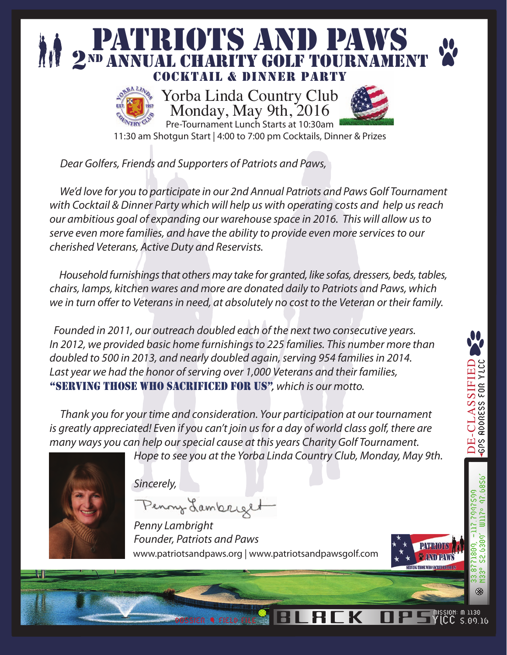# **PATRIOTS AND PAWS** 2<sup>ND</sup> ANNUAL CHARITY GOLF TOURNAMENT cocktail & dinner party



Yorba Linda Country Club Monday, May 9th, 2016



Pre-Tournament Lunch Starts at 10:30am 11:30 am Shotgun Start | 4:00 to 7:00 pm Cocktails, Dinner & Prizes

#### *Dear Golfers, Friends and Supporters of Patriots and Paws,*

 *We'd love for you to participate in our 2nd Annual Patriots and Paws Golf Tournament with Cocktail & Dinner Party which will help us with operating costs and help us reach our ambitious goal of expanding our warehouse space in 2016. This will allow us to serve even more families, and have the ability to provide even more services to our cherished Veterans, Active Duty and Reservists.* 

 *Household furnishings that others may take for granted, like sofas, dressers, beds, tables, chairs, lamps, kitchen wares and more are donated daily to Patriots and Paws, which*  we in turn offer to Veterans in need, at absolutely no cost to the Veteran or their family.

 *Founded in 2011, our outreach doubled each of the next two consecutive years. In 2012, we provided basic home furnishings to 225 families. This number more than doubled to 500 in 2013, and nearly doubled again, serving 954 families in 2014. Last year we had the honor of serving over 1,000 Veterans and their families,* "serving those who sacrificed for us".*, which is our motto.* 

 *Thank you for your time and consideration. Your participation at our tournament is greatly appreciated! Even if you can't join us for a day of world class golf, there are many ways you can help our special cause at this years Charity Golf Tournament.* 



 *Hope to see you at the Yorba Linda Country Club, Monday, May 9th.* 

 *Sincerely,*

Penny Lambriget

 *Penny Lambright Founder, Patriots and Paws* www.patriotsandpaws.org | www.patriotsandpawsgolf.com



DE-CLASSIFIED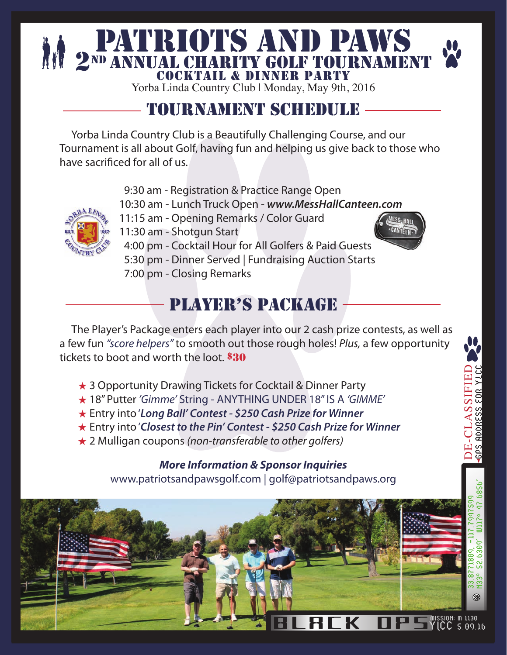# patriots and paws <sup>2</sup>nd annual charity golf tournament cocktail & dinner party

Yorba Linda Country Club | Monday, May 9th, 2016

# tournament schedule

 Yorba Linda Country Club is a Beautifully Challenging Course, and our Tournament is all about Golf, having fun and helping us give back to those who have sacrificed for all of us.

9:30 am - Registration & Practice Range Open

- 10:30 am Lunch Truck Open *www.MessHallCanteen.com*
- 11:15 am Opening Remarks / Color Guard



- 11:30 am Shotgun Start
- 4:00 pm Cocktail Hour for All Golfers & Paid Guests
- 5:30 pm Dinner Served | Fundraising Auction Starts
- 7:00 pm Closing Remarks

# player's package

 The Player's Package enters each player into our 2 cash prize contests, as well as a few fun *"score helpers"* to smooth out those rough holes! *Plus,* a few opportunity tickets to boot and worth the loot. \$30

- ★ 3 Opportunity Drawing Tickets for Cocktail & Dinner Party
- 18" Putter *'Gimme'* String ANYTHING UNDER 18" IS A *'GIMME'*
- Entry into '*Long Ball' Contest \$250 Cash Prize for Winner*
- Entry into '*Closest to the Pin' Contest \$250 Cash Prize for Winner*
- 2 Mulligan coupons *(non-transferable to other golfers)*

#### *More Information & Sponsor Inquiries*

www.patriotsandpawsgolf.com | golf@patriotsandpaws.org



DE-CLASSIFIED

MESS-HALI